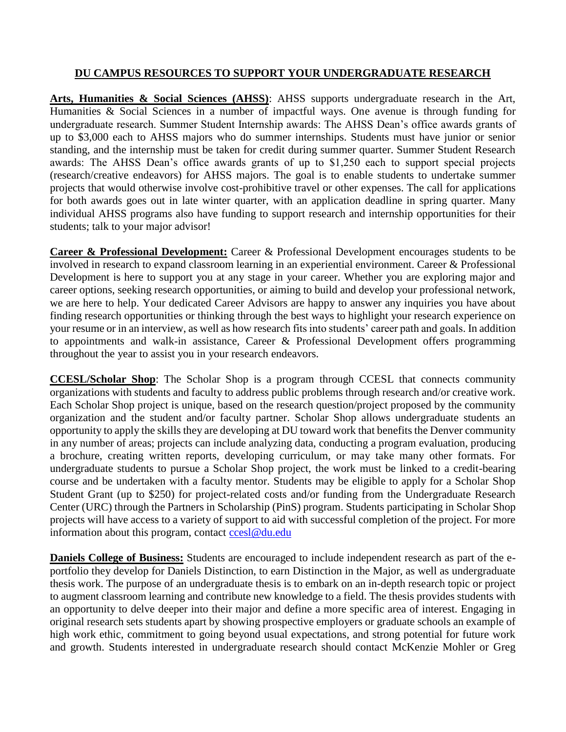## **DU CAMPUS RESOURCES TO SUPPORT YOUR UNDERGRADUATE RESEARCH**

**Arts, Humanities & Social Sciences (AHSS)**: AHSS supports undergraduate research in the Art, Humanities & Social Sciences in a number of impactful ways. One avenue is through funding for undergraduate research. Summer Student Internship awards: The AHSS Dean's office awards grants of up to \$3,000 each to AHSS majors who do summer internships. Students must have junior or senior standing, and the internship must be taken for credit during summer quarter. Summer Student Research awards: The AHSS Dean's office awards grants of up to \$1,250 each to support special projects (research/creative endeavors) for AHSS majors. The goal is to enable students to undertake summer projects that would otherwise involve cost-prohibitive travel or other expenses. The call for applications for both awards goes out in late winter quarter, with an application deadline in spring quarter. Many individual AHSS programs also have funding to support research and internship opportunities for their students; talk to your major advisor!

**Career & Professional Development:** Career & Professional Development encourages students to be involved in research to expand classroom learning in an experiential environment. Career & Professional Development is here to support you at any stage in your career. Whether you are exploring major and career options, seeking research opportunities, or aiming to build and develop your professional network, we are here to help. Your dedicated Career Advisors are happy to answer any inquiries you have about finding research opportunities or thinking through the best ways to highlight your research experience on your resume or in an interview, as well as how research fits into students' career path and goals. In addition to appointments and walk-in assistance, Career & Professional Development offers programming throughout the year to assist you in your research endeavors.

**CCESL/Scholar Shop**: The Scholar Shop is a program through CCESL that connects community organizations with students and faculty to address public problems through research and/or creative work. Each Scholar Shop project is unique, based on the research question/project proposed by the community organization and the student and/or faculty partner. Scholar Shop allows undergraduate students an opportunity to apply the skills they are developing at DU toward work that benefits the Denver community in any number of areas; projects can include analyzing data, conducting a program evaluation, producing a brochure, creating written reports, developing curriculum, or may take many other formats. For undergraduate students to pursue a Scholar Shop project, the work must be linked to a credit-bearing course and be undertaken with a faculty mentor. Students may be eligible to apply for a Scholar Shop Student Grant (up to \$250) for project-related costs and/or funding from the Undergraduate Research Center (URC) through the Partners in Scholarship (PinS) program. Students participating in Scholar Shop projects will have access to a variety of support to aid with successful completion of the project. For more information about this program, contact [ccesl@du.edu](mailto:ccesl@du.edu)

**Daniels College of Business:** Students are encouraged to include independent research as part of the eportfolio they develop for Daniels Distinction, to earn Distinction in the Major, as well as undergraduate thesis work. The purpose of an undergraduate thesis is to embark on an in-depth research topic or project to augment classroom learning and contribute new knowledge to a field. The thesis provides students with an opportunity to delve deeper into their major and define a more specific area of interest. Engaging in original research sets students apart by showing prospective employers or graduate schools an example of high work ethic, commitment to going beyond usual expectations, and strong potential for future work and growth. Students interested in undergraduate research should contact McKenzie Mohler or Greg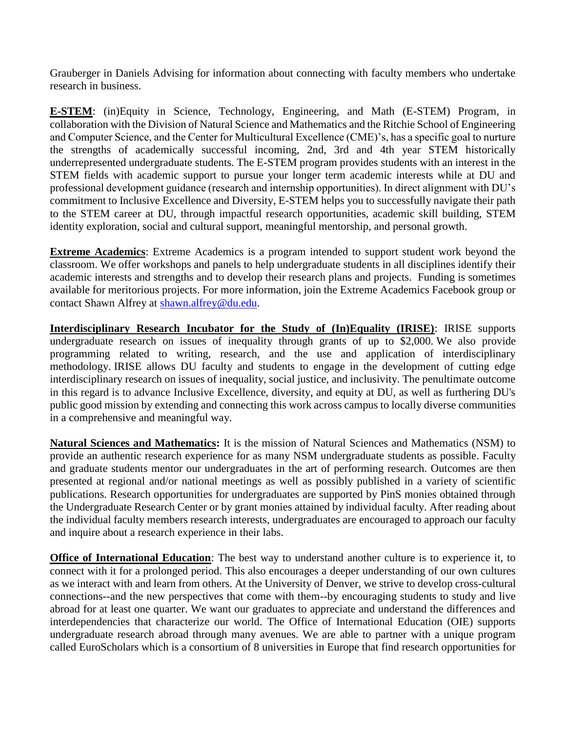Grauberger in Daniels Advising for information about connecting with faculty members who undertake research in business.

**E-STEM**: (in)Equity in Science, Technology, Engineering, and Math (E-STEM) Program, in collaboration with the Division of Natural Science and Mathematics and the Ritchie School of Engineering and Computer Science, and the Center for Multicultural Excellence (CME)'s, has a specific goal to nurture the strengths of academically successful incoming, 2nd, 3rd and 4th year STEM historically underrepresented undergraduate students. The E-STEM program provides students with an interest in the STEM fields with academic support to pursue your longer term academic interests while at DU and professional development guidance (research and internship opportunities). In direct alignment with DU's commitment to Inclusive Excellence and Diversity, E-STEM helps you to successfully navigate their path to the STEM career at DU, through impactful research opportunities, academic skill building, STEM identity exploration, social and cultural support, meaningful mentorship, and personal growth.

**Extreme Academics**: Extreme Academics is a program intended to support student work beyond the classroom. We offer workshops and panels to help undergraduate students in all disciplines identify their academic interests and strengths and to develop their research plans and projects. Funding is sometimes available for meritorious projects. For more information, join the Extreme Academics Facebook group or contact Shawn Alfrey at [shawn.alfrey@du.edu.](mailto:shawn.alfrey@du.edu)

**Interdisciplinary Research Incubator for the Study of (In)Equality (IRISE)**: IRISE supports undergraduate research on issues of inequality through grants of up to \$2,000. We also provide programming related to writing, research, and the use and application of interdisciplinary methodology. IRISE allows DU faculty and students to engage in the development of cutting edge interdisciplinary research on issues of inequality, social justice, and inclusivity. The penultimate outcome in this regard is to advance Inclusive Excellence, diversity, and equity at DU, as well as furthering DU's public good mission by extending and connecting this work across campus to locally diverse communities in a comprehensive and meaningful way.

**Natural Sciences and Mathematics:** It is the mission of Natural Sciences and Mathematics (NSM) to provide an authentic research experience for as many NSM undergraduate students as possible. Faculty and graduate students mentor our undergraduates in the art of performing research. Outcomes are then presented at regional and/or national meetings as well as possibly published in a variety of scientific publications. Research opportunities for undergraduates are supported by PinS monies obtained through the Undergraduate Research Center or by grant monies attained by individual faculty. After reading about the individual faculty members research interests, undergraduates are encouraged to approach our faculty and inquire about a research experience in their labs.

**Office of International Education**: The best way to understand another culture is to experience it, to connect with it for a prolonged period. This also encourages a deeper understanding of our own cultures as we interact with and learn from others. At the University of Denver, we strive to develop cross-cultural connections--and the new perspectives that come with them--by encouraging students to study and live abroad for at least one quarter. We want our graduates to appreciate and understand the differences and interdependencies that characterize our world. The Office of International Education (OIE) supports undergraduate research abroad through many avenues. We are able to partner with a unique program called EuroScholars which is a consortium of 8 universities in Europe that find research opportunities for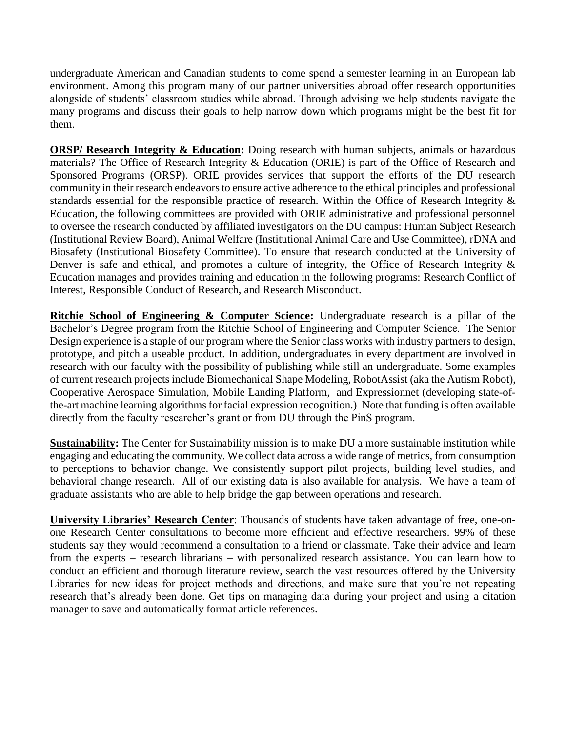undergraduate American and Canadian students to come spend a semester learning in an European lab environment. Among this program many of our partner universities abroad offer research opportunities alongside of students' classroom studies while abroad. Through advising we help students navigate the many programs and discuss their goals to help narrow down which programs might be the best fit for them.

**ORSP/ Research Integrity & Education:** Doing research with human subjects, animals or hazardous materials? The Office of Research Integrity & Education (ORIE) is part of the Office of Research and Sponsored Programs (ORSP). ORIE provides services that support the efforts of the DU research community in their research endeavors to ensure active adherence to the ethical principles and professional standards essential for the responsible practice of research. Within the Office of Research Integrity & Education, the following committees are provided with ORIE administrative and professional personnel to oversee the research conducted by affiliated investigators on the DU campus: Human Subject Research (Institutional Review Board), Animal Welfare (Institutional Animal Care and Use Committee), rDNA and Biosafety (Institutional Biosafety Committee). To ensure that research conducted at the University of Denver is safe and ethical, and promotes a culture of integrity, the Office of Research Integrity & Education manages and provides training and education in the following programs: Research Conflict of Interest, Responsible Conduct of Research, and Research Misconduct.

**Ritchie School of Engineering & Computer Science:** Undergraduate research is a pillar of the Bachelor's Degree program from the Ritchie School of Engineering and Computer Science. The Senior Design experience is a staple of our program where the Senior class works with industry partners to design, prototype, and pitch a useable product. In addition, undergraduates in every department are involved in research with our faculty with the possibility of publishing while still an undergraduate. Some examples of current research projects include Biomechanical Shape Modeling, RobotAssist (aka the Autism Robot), Cooperative Aerospace Simulation, Mobile Landing Platform, and Expressionnet (developing state-ofthe-art machine learning algorithms for facial expression recognition.) Note that funding is often available directly from the faculty researcher's grant or from DU through the PinS program.

**Sustainability:** The Center for Sustainability mission is to make DU a more sustainable institution while engaging and educating the community. We collect data across a wide range of metrics, from consumption to perceptions to behavior change. We consistently support pilot projects, building level studies, and behavioral change research. All of our existing data is also available for analysis. We have a team of graduate assistants who are able to help bridge the gap between operations and research.

**University Libraries' Research Center**: Thousands of students have taken advantage of free, one-onone Research Center consultations to become more efficient and effective researchers. 99% of these students say they would recommend a consultation to a friend or classmate. Take their advice and learn from the experts – research librarians – with personalized research assistance. You can learn how to conduct an efficient and thorough literature review, search the vast resources offered by the University Libraries for new ideas for project methods and directions, and make sure that you're not repeating research that's already been done. Get tips on managing data during your project and using a citation manager to save and automatically format article references.